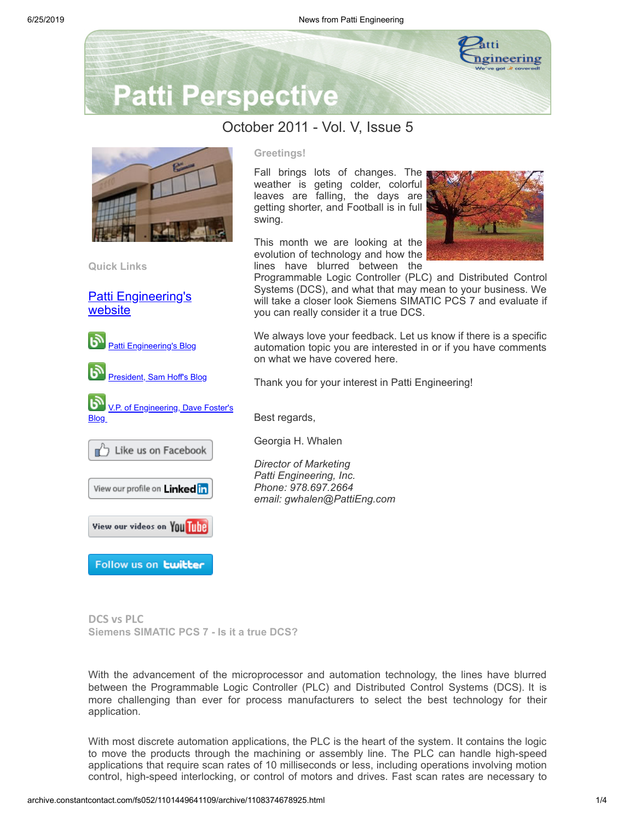

## **Patti Perspective**

### October 2011 - Vol. V, Issue 5

Fall brings lots of changes. The weather is geting colder, colorful leaves are falling, the days are getting shorter, and Football is in full

This month we are looking at the evolution of technology and how the lines have blurred between the

you can really consider it a true DCS.

Thank you for your interest in Patti Engineering!

on what we have covered here.

Best regards,

Georgia H. Whalen

*Director of Marketing Patti Engineering, Inc. Phone: 978.697.2664*

*email: gwhalen@PattiEng.com*

Programmable Logic Controller (PLC) and Distributed Control Systems (DCS), and what that may mean to your business. We will take a closer look Siemens SIMATIC PCS 7 and evaluate if

We always love your feedback. Let us know if there is a specific automation topic you are interested in or if you have comments

**Greetings!**

swing.



**Quick Links**

[Patti Engineering's](http://www.pattieng.com/) website













Follow us on **twitter** 

**DCS vs PLC Siemens SIMATIC PCS 7 - Is it a true DCS?**

With the advancement of the microprocessor and automation technology, the lines have blurred between the Programmable Logic Controller (PLC) and Distributed Control Systems (DCS). It is more challenging than ever for process manufacturers to select the best technology for their application.

With most discrete automation applications, the PLC is the heart of the system. It contains the logic to move the products through the machining or assembly line. The PLC can handle high-speed applications that require scan rates of 10 milliseconds or less, including operations involving motion control, high-speed interlocking, or control of motors and drives. Fast scan rates are necessary to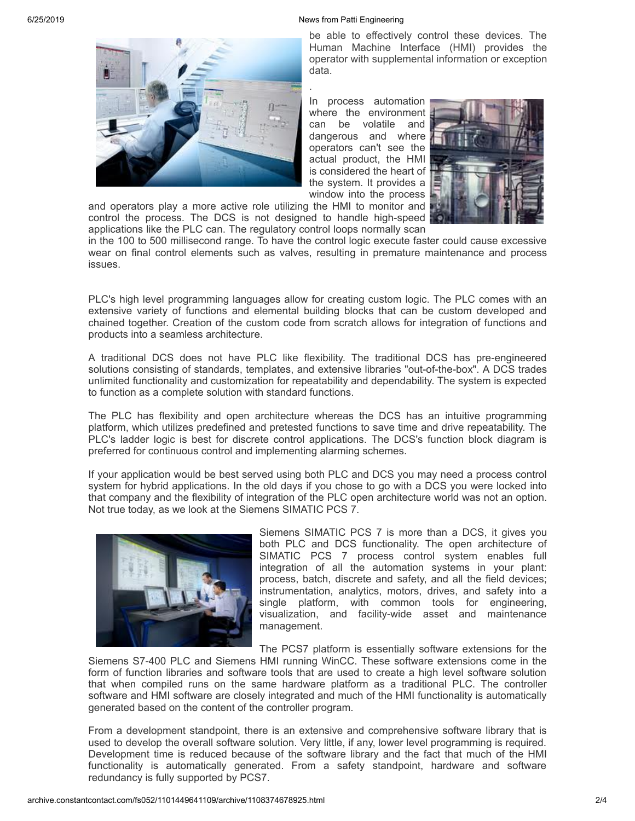#### 6/25/2019 News from Patti Engineering



be able to effectively control these devices. The Human Machine Interface (HMI) provides the operator with supplemental information or exception data.

In process automation where the environment can be volatile and dangerous and where operators can't see the actual product, the HMI is considered the heart of the system. It provides a window into the process



and operators play a more active role utilizing the HMI to monitor and control the process. The DCS is not designed to handle high-speed applications like the PLC can. The regulatory control loops normally scan

in the 100 to 500 millisecond range. To have the control logic execute faster could cause excessive wear on final control elements such as valves, resulting in premature maintenance and process issues.

.

PLC's high level programming languages allow for creating custom logic. The PLC comes with an extensive variety of functions and elemental building blocks that can be custom developed and chained together. Creation of the custom code from scratch allows for integration of functions and products into a seamless architecture.

A traditional DCS does not have PLC like flexibility. The traditional DCS has pre-engineered solutions consisting of standards, templates, and extensive libraries "out-of-the-box". A DCS trades unlimited functionality and customization for repeatability and dependability. The system is expected to function as a complete solution with standard functions.

The PLC has flexibility and open architecture whereas the DCS has an intuitive programming platform, which utilizes predefined and pretested functions to save time and drive repeatability. The PLC's ladder logic is best for discrete control applications. The DCS's function block diagram is preferred for continuous control and implementing alarming schemes.

If your application would be best served using both PLC and DCS you may need a process control system for hybrid applications. In the old days if you chose to go with a DCS you were locked into that company and the flexibility of integration of the PLC open architecture world was not an option. Not true today, as we look at the Siemens SIMATIC PCS 7.



Siemens SIMATIC PCS 7 is more than a DCS, it gives you both PLC and DCS functionality. The open architecture of SIMATIC PCS 7 process control system enables full integration of all the automation systems in your plant: process, batch, discrete and safety, and all the field devices; instrumentation, analytics, motors, drives, and safety into a single platform, with common tools for engineering, visualization, and facility-wide asset and maintenance management.

The PCS7 platform is essentially software extensions for the

Siemens S7-400 PLC and Siemens HMI running WinCC. These software extensions come in the form of function libraries and software tools that are used to create a high level software solution that when compiled runs on the same hardware platform as a traditional PLC. The controller software and HMI software are closely integrated and much of the HMI functionality is automatically generated based on the content of the controller program.

From a development standpoint, there is an extensive and comprehensive software library that is used to develop the overall software solution. Very little, if any, lower level programming is required. Development time is reduced because of the software library and the fact that much of the HMI functionality is automatically generated. From a safety standpoint, hardware and software redundancy is fully supported by PCS7.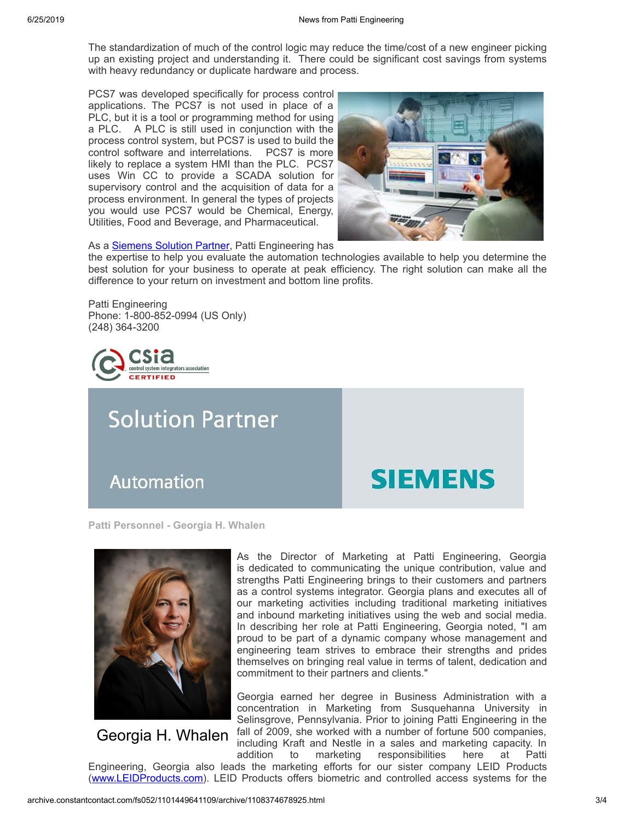The standardization of much of the control logic may reduce the time/cost of a new engineer picking up an existing project and understanding it. There could be significant cost savings from systems with heavy redundancy or duplicate hardware and process.

PCS7 was developed specifically for process control applications. The PCS7 is not used in place of a PLC, but it is a tool or programming method for using a PLC. A PLC is still used in conjunction with the process control system, but PCS7 is used to build the control software and interrelations. PCS7 is more likely to replace a system HMI than the PLC. PCS7 uses Win CC to provide a SCADA solution for supervisory control and the acquisition of data for a process environment. In general the types of projects you would use PCS7 would be Chemical, Energy, Utilities, Food and Beverage, and Pharmaceutical.



As a **[Siemens](http://www.pattieng.com/partners-seimens-steeplechase-mitsubishi/siemens-integrator.html) Solution Partner**, Patti Engineering has

the expertise to help you evaluate the automation technologies available to help you determine the best solution for your business to operate at peak efficiency. The right solution can make all the difference to your return on investment and bottom line profits.

Patti Engineering Phone: 1-800-852-0994 (US Only) (248) 364-3200



# **Solution Partner**

Automation

## **SIEMENS**

**Patti Personnel - Georgia H. Whalen**



Georgia H. Whalen

As the Director of Marketing at Patti Engineering, Georgia is dedicated to communicating the unique contribution, value and strengths Patti Engineering brings to their customers and partners as a control systems integrator. Georgia plans and executes all of our marketing activities including traditional marketing initiatives and inbound marketing initiatives using the web and social media. In describing her role at Patti Engineering, Georgia noted, "I am proud to be part of a dynamic company whose management and engineering team strives to embrace their strengths and prides themselves on bringing real value in terms of talent, dedication and commitment to their partners and clients."

Georgia earned her degree in Business Administration with a concentration in Marketing from Susquehanna University in Selinsgrove, Pennsylvania. Prior to joining Patti Engineering in the fall of 2009, she worked with a number of fortune 500 companies, including Kraft and Nestle in a sales and marketing capacity. In

addition to marketing responsibilities here at Patti Engineering, Georgia also leads the marketing efforts for our sister company LEID Products [\(www.LEIDProducts.com](http://www.leidproducts.com/)). LEID Products offers biometric and controlled access systems for the